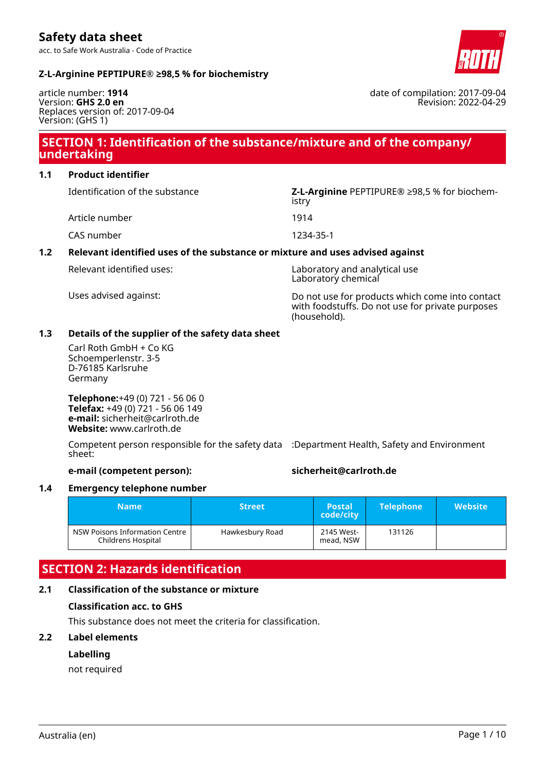acc. to Safe Work Australia - Code of Practice



date of compilation: 2017-09-04

Revision: 2022-04-29

#### **Z-L-Arginine PEPTIPURE® ≥98,5 % for biochemistry**

article number: **1914** Version: **GHS 2.0 en** Replaces version of: 2017-09-04 Version: (GHS 1)

# **SECTION 1: Identification of the substance/mixture and of the company/ undertaking**

**1.1 Product identifier**

Article number 1914

CAS number 1234-35-1

### **1.2 Relevant identified uses of the substance or mixture and uses advised against**

Relevant identified uses: Laboratory and analytical use Laboratory chemical

Uses advised against: Do not use for products which come into contact with foodstuffs. Do not use for private purposes (household).

#### **1.3 Details of the supplier of the safety data sheet**

Carl Roth GmbH + Co KG Schoemperlenstr. 3-5 D-76185 Karlsruhe Germany

**Telephone:**+49 (0) 721 - 56 06 0 **Telefax:** +49 (0) 721 - 56 06 149 **e-mail:** sicherheit@carlroth.de **Website:** www.carlroth.de

Competent person responsible for the safety data :Department Health, Safety and Environment sheet:

### **e-mail (competent person): sicherheit@carlroth.de**

#### **1.4 Emergency telephone number**

| <b>Name</b>                                          | <b>Street</b>   | <b>Postal</b><br>code/city | <b>Telephone</b> | <b>Website</b> |
|------------------------------------------------------|-----------------|----------------------------|------------------|----------------|
| NSW Poisons Information Centre<br>Childrens Hospital | Hawkesbury Road | 2145 West-<br>mead, NSW    | 131126           |                |

# **SECTION 2: Hazards identification**

### **2.1 Classification of the substance or mixture**

### **Classification acc. to GHS**

This substance does not meet the criteria for classification.

#### **2.2 Label elements**

#### **Labelling**

not required

Identification of the substance **Z-L-Arginine** PEPTIPURE® ≥98,5 % for biochemistry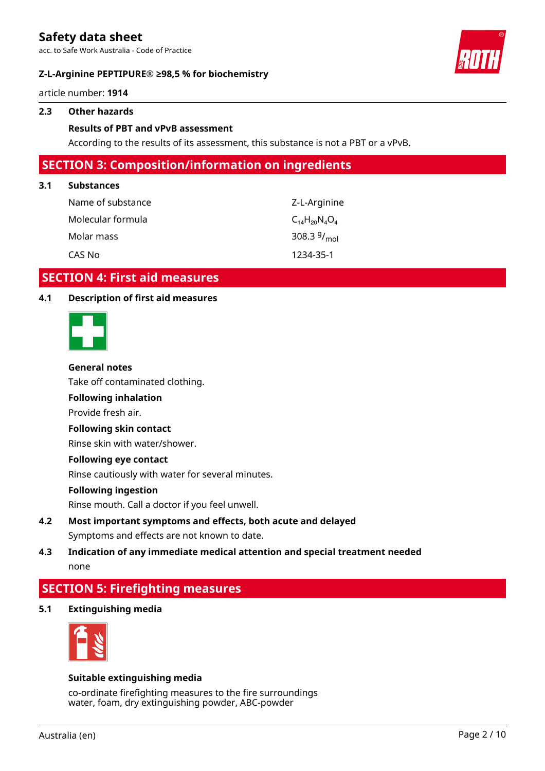acc. to Safe Work Australia - Code of Practice

#### **Z-L-Arginine PEPTIPURE® ≥98,5 % for biochemistry**



article number: **1914**

#### **2.3 Other hazards**

#### **Results of PBT and vPvB assessment**

According to the results of its assessment, this substance is not a PBT or a vPvB.

### **SECTION 3: Composition/information on ingredients**

#### **3.1 Substances**

| Name of substance | Z-L-Arginine             |
|-------------------|--------------------------|
| Molecular formula | $C_{14}H_{20}N_{4}O_{4}$ |
| Molar mass        | 308.3 $9/_{\text{mol}}$  |
| CAS No            | 1234-35-1                |

### **SECTION 4: First aid measures**

#### **4.1 Description of first aid measures**



#### **General notes**

Take off contaminated clothing.

### **Following inhalation**

Provide fresh air.

#### **Following skin contact**

Rinse skin with water/shower.

#### **Following eye contact**

Rinse cautiously with water for several minutes.

#### **Following ingestion**

Rinse mouth. Call a doctor if you feel unwell.

**4.2 Most important symptoms and effects, both acute and delayed** Symptoms and effects are not known to date.

### **4.3 Indication of any immediate medical attention and special treatment needed** none

# **SECTION 5: Firefighting measures**

**5.1 Extinguishing media**



#### **Suitable extinguishing media**

co-ordinate firefighting measures to the fire surroundings water, foam, dry extinguishing powder, ABC-powder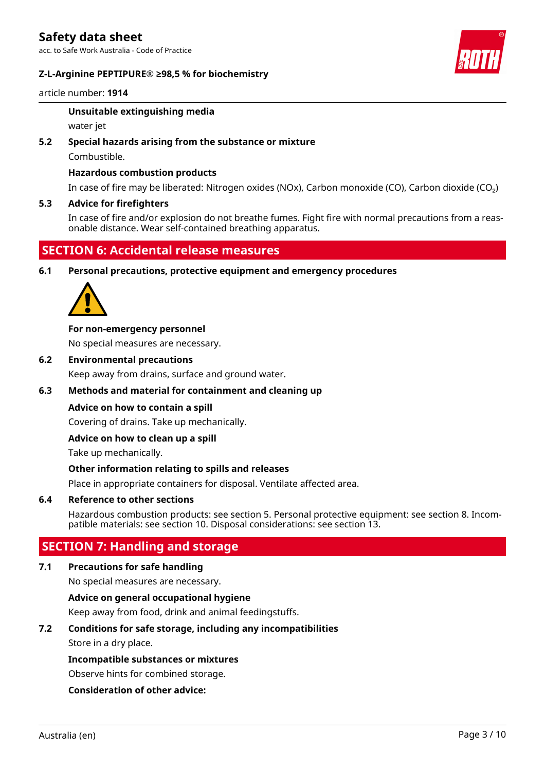acc. to Safe Work Australia - Code of Practice

#### **Z-L-Arginine PEPTIPURE® ≥98,5 % for biochemistry**



article number: **1914**

#### **Unsuitable extinguishing media**

water jet

#### **5.2 Special hazards arising from the substance or mixture**

Combustible.

#### **Hazardous combustion products**

In case of fire may be liberated: Nitrogen oxides (NOx), Carbon monoxide (CO), Carbon dioxide (CO₂)

#### **5.3 Advice for firefighters**

In case of fire and/or explosion do not breathe fumes. Fight fire with normal precautions from a reasonable distance. Wear self-contained breathing apparatus.

# **SECTION 6: Accidental release measures**

**6.1 Personal precautions, protective equipment and emergency procedures**



#### **For non-emergency personnel**

No special measures are necessary.

**6.2 Environmental precautions**

Keep away from drains, surface and ground water.

#### **6.3 Methods and material for containment and cleaning up**

#### **Advice on how to contain a spill**

Covering of drains. Take up mechanically.

#### **Advice on how to clean up a spill**

Take up mechanically.

#### **Other information relating to spills and releases**

Place in appropriate containers for disposal. Ventilate affected area.

#### **6.4 Reference to other sections**

Hazardous combustion products: see section 5. Personal protective equipment: see section 8. Incompatible materials: see section 10. Disposal considerations: see section 13.

# **SECTION 7: Handling and storage**

#### **7.1 Precautions for safe handling**

No special measures are necessary.

#### **Advice on general occupational hygiene**

Keep away from food, drink and animal feedingstuffs.

#### **7.2 Conditions for safe storage, including any incompatibilities**

Store in a dry place.

#### **Incompatible substances or mixtures**

Observe hints for combined storage.

#### **Consideration of other advice:**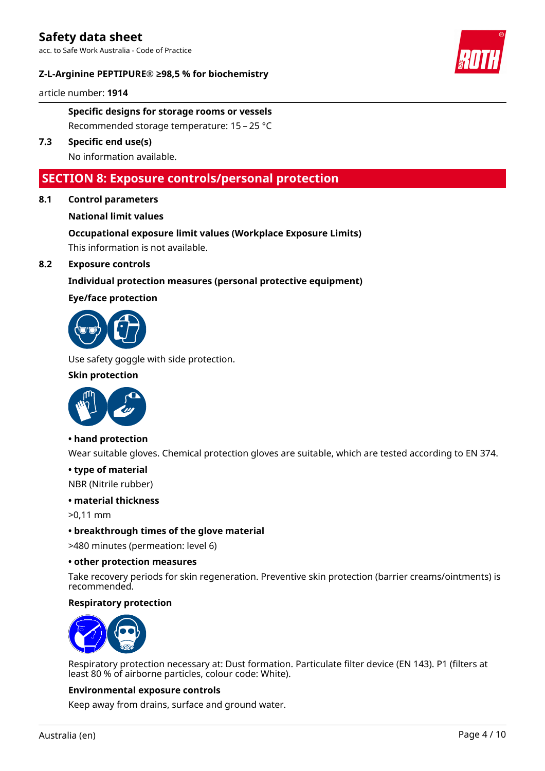acc. to Safe Work Australia - Code of Practice

#### **Z-L-Arginine PEPTIPURE® ≥98,5 % for biochemistry**



article number: **1914**

**Specific designs for storage rooms or vessels** Recommended storage temperature: 15 – 25 °C

**7.3 Specific end use(s)**

No information available.

### **SECTION 8: Exposure controls/personal protection**

**8.1 Control parameters**

#### **National limit values**

# **Occupational exposure limit values (Workplace Exposure Limits)**

This information is not available.

### **8.2 Exposure controls**

#### **Individual protection measures (personal protective equipment)**

#### **Eye/face protection**



Use safety goggle with side protection.

#### **Skin protection**



#### **• hand protection**

Wear suitable gloves. Chemical protection gloves are suitable, which are tested according to EN 374.

#### **• type of material**

NBR (Nitrile rubber)

#### **• material thickness**

>0,11 mm

#### **• breakthrough times of the glove material**

>480 minutes (permeation: level 6)

#### **• other protection measures**

Take recovery periods for skin regeneration. Preventive skin protection (barrier creams/ointments) is recommended.

#### **Respiratory protection**



Respiratory protection necessary at: Dust formation. Particulate filter device (EN 143). P1 (filters at least 80 % of airborne particles, colour code: White).

#### **Environmental exposure controls**

Keep away from drains, surface and ground water.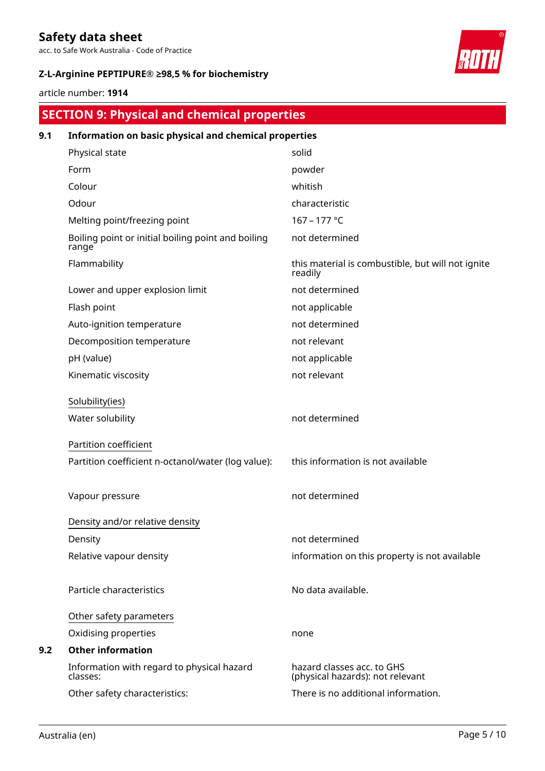acc. to Safe Work Australia - Code of Practice

### **Z-L-Arginine PEPTIPURE® ≥98,5 % for biochemistry**



article number: **1914**

# **SECTION 9: Physical and chemical properties**

| 9.1 | Information on basic physical and chemical properties       |                                                                |
|-----|-------------------------------------------------------------|----------------------------------------------------------------|
|     | Physical state                                              | solid                                                          |
|     | Form                                                        | powder                                                         |
|     | Colour                                                      | whitish                                                        |
|     | Odour                                                       | characteristic                                                 |
|     | Melting point/freezing point                                | 167 - 177 °C                                                   |
|     | Boiling point or initial boiling point and boiling<br>range | not determined                                                 |
|     | Flammability                                                | this material is combustible, but will not ignite<br>readily   |
|     | Lower and upper explosion limit                             | not determined                                                 |
|     | Flash point                                                 | not applicable                                                 |
|     | Auto-ignition temperature                                   | not determined                                                 |
|     | Decomposition temperature                                   | not relevant                                                   |
|     | pH (value)                                                  | not applicable                                                 |
|     | Kinematic viscosity                                         | not relevant                                                   |
|     | Solubility(ies)                                             |                                                                |
|     | Water solubility                                            | not determined                                                 |
|     | Partition coefficient                                       |                                                                |
|     | Partition coefficient n-octanol/water (log value):          | this information is not available                              |
|     | Vapour pressure                                             | not determined                                                 |
|     | Density and/or relative density                             |                                                                |
|     | Density                                                     | not determined                                                 |
|     | Relative vapour density                                     | information on this property is not available                  |
|     | Particle characteristics                                    | No data available.                                             |
|     | Other safety parameters                                     |                                                                |
|     | Oxidising properties                                        | none                                                           |
| 9.2 | <b>Other information</b>                                    |                                                                |
|     | Information with regard to physical hazard<br>classes:      | hazard classes acc. to GHS<br>(physical hazards): not relevant |
|     | Other safety characteristics:                               | There is no additional information.                            |
|     |                                                             |                                                                |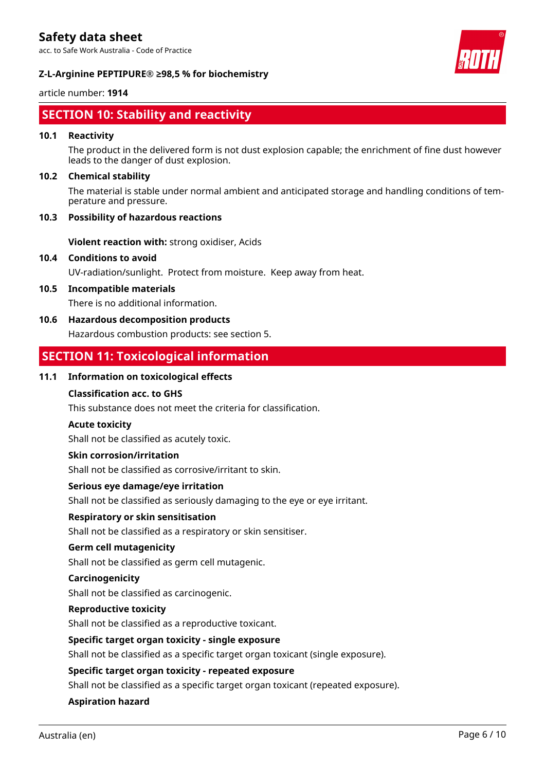acc. to Safe Work Australia - Code of Practice



### **Z-L-Arginine PEPTIPURE® ≥98,5 % for biochemistry**

#### article number: **1914**

# **SECTION 10: Stability and reactivity**

#### **10.1 Reactivity**

The product in the delivered form is not dust explosion capable; the enrichment of fine dust however leads to the danger of dust explosion.

#### **10.2 Chemical stability**

The material is stable under normal ambient and anticipated storage and handling conditions of temperature and pressure.

#### **10.3 Possibility of hazardous reactions**

**Violent reaction with:** strong oxidiser, Acids

**10.4 Conditions to avoid**

UV-radiation/sunlight. Protect from moisture. Keep away from heat.

**10.5 Incompatible materials**

There is no additional information.

### **10.6 Hazardous decomposition products**

Hazardous combustion products: see section 5.

# **SECTION 11: Toxicological information**

#### **11.1 Information on toxicological effects**

#### **Classification acc. to GHS**

This substance does not meet the criteria for classification.

#### **Acute toxicity**

Shall not be classified as acutely toxic.

#### **Skin corrosion/irritation**

Shall not be classified as corrosive/irritant to skin.

#### **Serious eye damage/eye irritation**

Shall not be classified as seriously damaging to the eye or eye irritant.

#### **Respiratory or skin sensitisation**

Shall not be classified as a respiratory or skin sensitiser.

#### **Germ cell mutagenicity**

Shall not be classified as germ cell mutagenic.

#### **Carcinogenicity**

Shall not be classified as carcinogenic.

#### **Reproductive toxicity**

Shall not be classified as a reproductive toxicant.

#### **Specific target organ toxicity - single exposure**

Shall not be classified as a specific target organ toxicant (single exposure).

#### **Specific target organ toxicity - repeated exposure**

Shall not be classified as a specific target organ toxicant (repeated exposure).

#### **Aspiration hazard**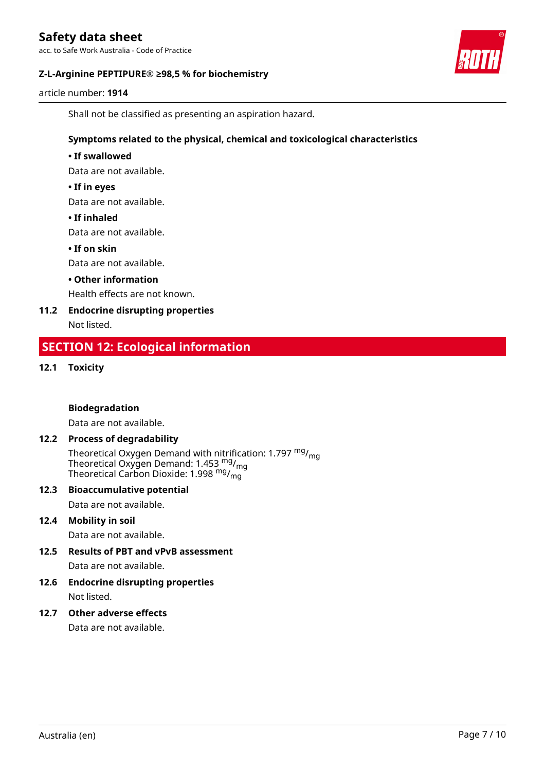acc. to Safe Work Australia - Code of Practice

#### **Z-L-Arginine PEPTIPURE® ≥98,5 % for biochemistry**



article number: **1914**

Shall not be classified as presenting an aspiration hazard.

#### **Symptoms related to the physical, chemical and toxicological characteristics**

#### **• If swallowed**

Data are not available.

#### **• If in eyes**

Data are not available.

#### **• If inhaled**

Data are not available.

#### **• If on skin**

Data are not available.

#### **• Other information**

Health effects are not known.

# **11.2 Endocrine disrupting properties**

Not listed.

# **SECTION 12: Ecological information**

#### **12.1 Toxicity**

#### **Biodegradation**

Data are not available.

#### **12.2 Process of degradability**

Theoretical Oxygen Demand with nitrification: 1.797  $mg/mq$ Theoretical Oxygen Demand: 1.453  $mg/m<sub>g</sub>$ Theoretical Carbon Dioxide: 1.998  $mg/mq$ 

#### **12.3 Bioaccumulative potential**

Data are not available.

#### **12.4 Mobility in soil**

Data are not available.

### **12.5 Results of PBT and vPvB assessment**

Data are not available.

#### **12.6 Endocrine disrupting properties** Not listed.

#### **12.7 Other adverse effects**

Data are not available.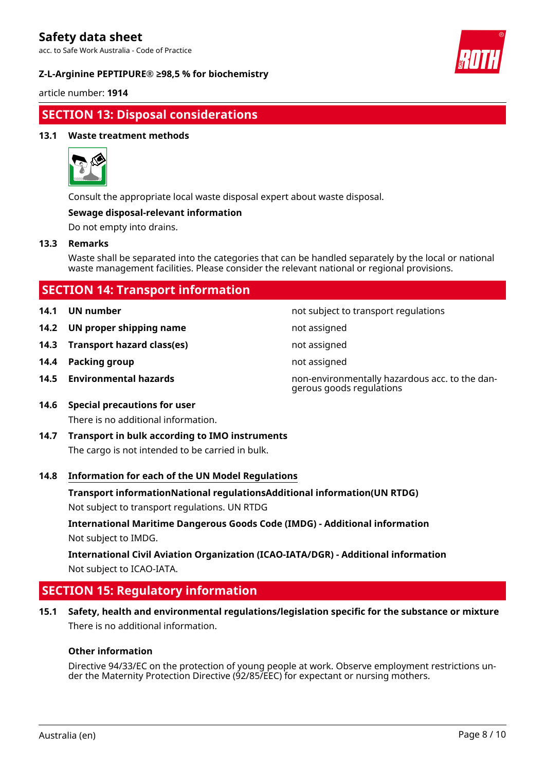acc. to Safe Work Australia - Code of Practice

#### **Z-L-Arginine PEPTIPURE® ≥98,5 % for biochemistry**



article number: **1914**

# **SECTION 13: Disposal considerations**

#### **13.1 Waste treatment methods**



Consult the appropriate local waste disposal expert about waste disposal.

#### **Sewage disposal-relevant information**

Do not empty into drains.

#### **13.3 Remarks**

Waste shall be separated into the categories that can be handled separately by the local or national waste management facilities. Please consider the relevant national or regional provisions.

- 
- **14.2 UN proper shipping name** not assigned
- **14.3 Transport hazard class(es)** not assigned
- **14.4 Packing group not assigned not assigned**
- 

**14.1 UN number 14.1 UN** number

- 
- 
- 

**14.5 Environmental hazards** non-environmentally hazardous acc. to the dangerous goods regulations

- **14.6 Special precautions for user** There is no additional information.
- **14.7 Transport in bulk according to IMO instruments** The cargo is not intended to be carried in bulk.

#### **14.8 Information for each of the UN Model Regulations**

**Transport informationNational regulationsAdditional information(UN RTDG)**

Not subject to transport regulations. UN RTDG

**International Maritime Dangerous Goods Code (IMDG) - Additional information** Not subject to IMDG.

**International Civil Aviation Organization (ICAO-IATA/DGR) - Additional information** Not subject to ICAO-IATA.

# **SECTION 15: Regulatory information**

**15.1 Safety, health and environmental regulations/legislation specific for the substance or mixture** There is no additional information.

#### **Other information**

Directive 94/33/EC on the protection of young people at work. Observe employment restrictions under the Maternity Protection Directive (92/85/EEC) for expectant or nursing mothers.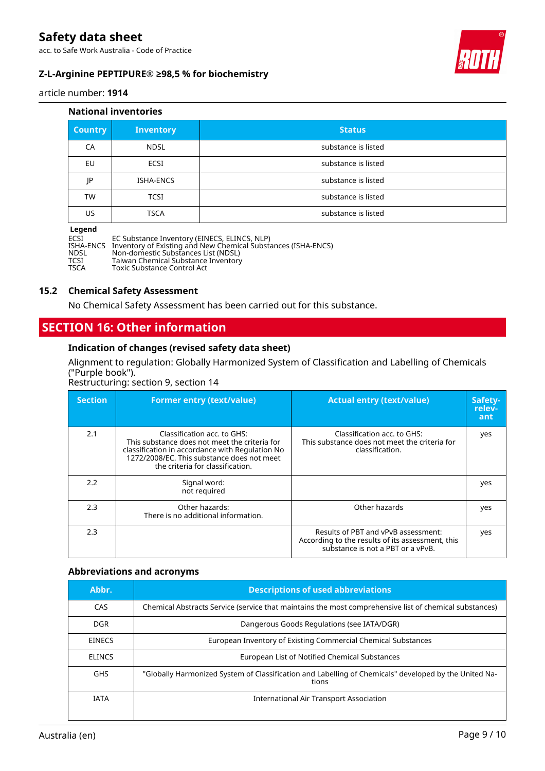acc. to Safe Work Australia - Code of Practice

### **Z-L-Arginine PEPTIPURE® ≥98,5 % for biochemistry**



article number: **1914**

#### **National inventories**

| <b>Country</b> | <b>Inventory</b> | <b>Status</b>       |
|----------------|------------------|---------------------|
| CA             | <b>NDSL</b>      | substance is listed |
| EU             | <b>ECSI</b>      | substance is listed |
| ΙP             | <b>ISHA-ENCS</b> | substance is listed |
| TW             | <b>TCSI</b>      | substance is listed |
| US.            | <b>TSCA</b>      | substance is listed |

#### **Legend**

ECSI EC Substance Inventory (EINECS, ELINCS, NLP) ISHA-ENCS Inventory of Existing and New Chemical Substances (ISHA-ENCS) NDSL Non-domestic Substances List (NDSL) TCSI Taiwan Chemical Substance Inventory TSCA Toxic Substance Control Act

#### **15.2 Chemical Safety Assessment**

No Chemical Safety Assessment has been carried out for this substance.

### **SECTION 16: Other information**

#### **Indication of changes (revised safety data sheet)**

Alignment to regulation: Globally Harmonized System of Classification and Labelling of Chemicals ("Purple book").

Restructuring: section 9, section 14

| <b>Section</b> | <b>Former entry (text/value)</b>                                                                                                                                                                                  | <b>Actual entry (text/value)</b>                                                                                             | Safety-<br>relev-<br>ant |
|----------------|-------------------------------------------------------------------------------------------------------------------------------------------------------------------------------------------------------------------|------------------------------------------------------------------------------------------------------------------------------|--------------------------|
| 2.1            | Classification acc. to GHS:<br>This substance does not meet the criteria for<br>classification in accordance with Regulation No<br>1272/2008/EC. This substance does not meet<br>the criteria for classification. | Classification acc. to GHS:<br>This substance does not meet the criteria for<br>classification.                              | yes                      |
| 2.2            | Signal word:<br>not required                                                                                                                                                                                      |                                                                                                                              | yes                      |
| 2.3            | Other hazards:<br>There is no additional information.                                                                                                                                                             | Other hazards                                                                                                                | yes                      |
| 2.3            |                                                                                                                                                                                                                   | Results of PBT and vPvB assessment:<br>According to the results of its assessment, this<br>substance is not a PBT or a vPvB. | yes                      |

#### **Abbreviations and acronyms**

| Abbr.         | <b>Descriptions of used abbreviations</b>                                                                      |  |
|---------------|----------------------------------------------------------------------------------------------------------------|--|
| CAS.          | Chemical Abstracts Service (service that maintains the most comprehensive list of chemical substances)         |  |
| DGR.          | Dangerous Goods Regulations (see IATA/DGR)                                                                     |  |
| <b>EINECS</b> | European Inventory of Existing Commercial Chemical Substances                                                  |  |
| <b>ELINCS</b> | European List of Notified Chemical Substances                                                                  |  |
| <b>GHS</b>    | "Globally Harmonized System of Classification and Labelling of Chemicals" developed by the United Na-<br>tions |  |
| <b>IATA</b>   | International Air Transport Association                                                                        |  |